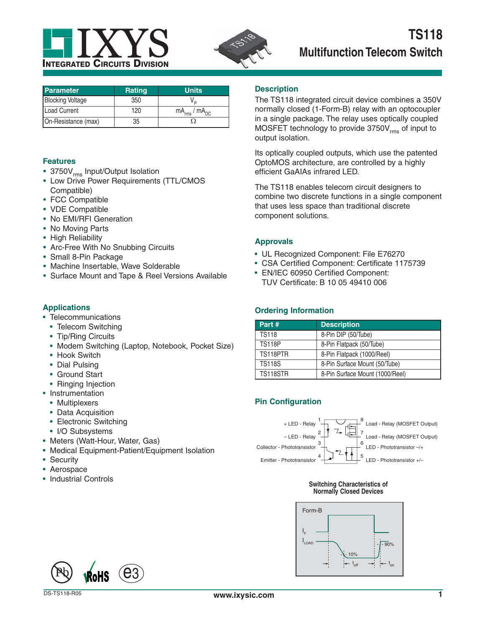



| <b>Parameter</b>        | <b>Rating</b> | <b>Units</b>           |
|-------------------------|---------------|------------------------|
| <b>Blocking Voltage</b> | 350           |                        |
| Load Current            | 120           | $mA_{rms}$ / $mA_{DC}$ |
| On-Resistance (max)     | 35            |                        |

# **Features**

- 3750V<sub>rms</sub> Input/Output Isolation
- Low Drive Power Requirements (TTL/CMOS Compatible)
- FCC Compatible
- VDE Compatible
- No EMI/RFI Generation
- No Moving Parts
- High Reliability
- Arc-Free With No Snubbing Circuits
- Small 8-Pin Package
- Machine Insertable, Wave Solderable
- Surface Mount and Tape & Reel Versions Available

# **Applications**

- Telecommunications
- Telecom Switching
- Tip/Ring Circuits
- Modem Switching (Laptop, Notebook, Pocket Size)
- Hook Switch
- Dial Pulsing
- Ground Start
- Ringing Injection
- Instrumentation
	- Multiplexers
	- Data Acquisition
	- Electronic Switching
	- I/O Subsystems
- Meters (Watt-Hour, Water, Gas)
- Medical Equipment-Patient/Equipment Isolation
- Security
- Aerospace
- Industrial Controls

# **Description**

The TS118 integrated circuit device combines a 350V normally closed (1-Form-B) relay with an optocoupler in a single package. The relay uses optically coupled MOSFET technology to provide  $3750V_{rms}$  of input to output isolation.

Its optically coupled outputs, which use the patented OptoMOS architecture, are controlled by a highly efficient GaAIAs infrared LED.

The TS118 enables telecom circuit designers to combine two discrete functions in a single component that uses less space than traditional discrete component solutions.

# **Approvals**

- UL Recognized Component: File E76270
- CSA Certified Component: Certificate 1175739
- EN/IEC 60950 Certified Component: TUV Certificate: B 10 05 49410 006

# **Ordering Information**

| Part #          | <b>Description</b>              |
|-----------------|---------------------------------|
| <b>TS118</b>    | 8-Pin DIP (50/Tube)             |
| <b>TS118P</b>   | 8-Pin Flatpack (50/Tube)        |
| TS118PTR        | 8-Pin Flatpack (1000/Reel)      |
| <b>TS118S</b>   | 8-Pin Surface Mount (50/Tube)   |
| <b>TS118STR</b> | 8-Pin Surface Mount (1000/Reel) |

# **Pin Configuration**



#### **Switching Characteristics of Normally Closed Devices**



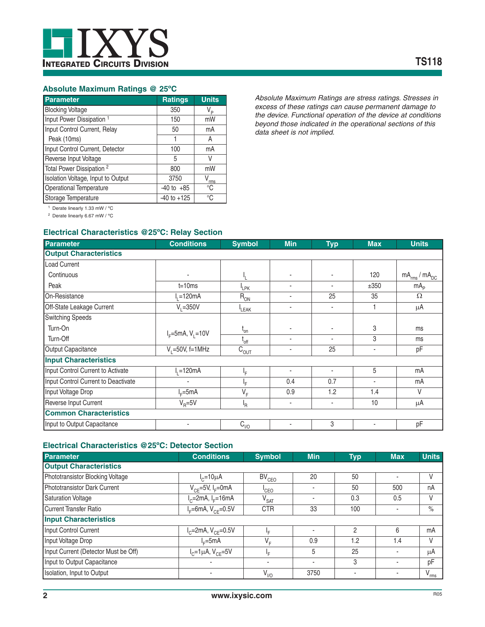

# **Absolute Maximum Ratings @ 25ºC**

| Parameter                            | <b>Ratings</b>  | <b>Units</b> |
|--------------------------------------|-----------------|--------------|
| <b>Blocking Voltage</b>              | 350             | V,           |
| Input Power Dissipation <sup>1</sup> | 150             | mW           |
| Input Control Current, Relay         | 50              | mA           |
| Peak (10ms)                          |                 | A            |
| Input Control Current, Detector      | 100             | mA           |
| Reverse Input Voltage                | 5               | V            |
| Total Power Dissipation <sup>2</sup> | 800             | mW           |
| Isolation Voltage, Input to Output   | 3750            | v<br>rms     |
| Operational Temperature              | $-40$ to $+85$  | °C           |
| Storage Temperature                  | $-40$ to $+125$ | °C           |

*Absolute Maximum Ratings are stress ratings. Stresses in excess of these ratings can cause permanent damage to the device. Functional operation of the device at conditions beyond those indicated in the operational sections of this data sheet is not implied.*

1 Derate linearly 1.33 mW / ºC

2 Derate linearly 6.67 mW / ºC

# **Electrical Characteristics @25ºC: Relay Section**

| <b>Parameter</b>                    | <b>Conditions</b>      | <b>Symbol</b>    | <b>Min</b> | <b>Typ</b> | <b>Max</b> | <b>Units</b>           |
|-------------------------------------|------------------------|------------------|------------|------------|------------|------------------------|
| <b>Output Characteristics</b>       |                        |                  |            |            |            |                        |
| Load Current                        |                        |                  |            |            |            |                        |
| Continuous                          |                        |                  | ٠          |            | 120        | $mA_{rms}$ / $mA_{DC}$ |
| Peak                                | $t = 10ms$             | <sup>I</sup> LPK | ٠          | ٠          | ±350       | mA <sub>p</sub>        |
| On-Resistance                       | 120mA                  | $R_{ON}$         | ٠          | 25         | 35         | $\Omega$               |
| Off-State Leakage Current           | $V_1 = 350V$           | LEAK             | ٠          |            |            | μA                     |
| <b>Switching Speeds</b>             |                        |                  |            |            |            |                        |
| Turn-On                             |                        | $t_{\rm on}$     | ٠          |            | 3          | ms                     |
| Turn-Off                            | $I_F = 5mA, V_1 = 10V$ | $I_{off}$        | ٠          |            | 3          | ms                     |
| Output Capacitance                  | $V_1 = 50V$ , f=1MHz   | $C_{OUT}$        | ٠          | 25         | ٠          | pF                     |
| <b>Input Characteristics</b>        |                        |                  |            |            |            |                        |
| Input Control Current to Activate   | $I1=120mA$             | ١F.              | ٠          |            | 5          | mA                     |
| Input Control Current to Deactivate | ٠                      | ١F               | 0.4        | 0.7        | ۰          | mA                     |
| Input Voltage Drop                  | $I_F = 5mA$            | $V_F$            | 0.9        | 1.2        | 1.4        | $\vee$                 |
| Reverse Input Current               | $V_{\rm R}$ =5V        | ŀR               | ٠          | ٠          | 10         | μA                     |
| <b>Common Characteristics</b>       |                        |                  |            |            |            |                        |
| Input to Output Capacitance         |                        | $C_{1/0}$        | ٠          | 3          | ٠          | pF                     |

### **Electrical Characteristics @25ºC: Detector Section**

| <b>Parameter</b>                     | <b>Conditions</b>                 | <b>Symbol</b>      | <b>Min</b>               | <b>Typ</b>     | <b>Max</b>               | <b>Units</b>  |
|--------------------------------------|-----------------------------------|--------------------|--------------------------|----------------|--------------------------|---------------|
| <b>Output Characteristics</b>        |                                   |                    |                          |                |                          |               |
| Phototransistor Blocking Voltage     | $I_c = 10 \mu A$                  | BV <sub>CEO</sub>  | 20                       | 50             | $\overline{\phantom{a}}$ | V             |
| Phototransistor Dark Current         | $V_{CF}$ =5V, I <sub>F</sub> =0mA | <sup>I</sup> CEO   | $\overline{\phantom{a}}$ | 50             | 500                      | nA            |
| <b>Saturation Voltage</b>            | $I_c$ =2mA, $I_F$ =16mA           | $V_{\mathsf{SAT}}$ | $\blacksquare$           | 0.3            | 0.5                      | ٧             |
| <b>Current Transfer Ratio</b>        | $I_F = 6mA, V_{CF} = 0.5V$        | <b>CTR</b>         | 33                       | 100            |                          | $\%$          |
| <b>Input Characteristics</b>         |                                   |                    |                          |                |                          |               |
| Input Control Current                | $I_{C}$ =2mA, $V_{CF}$ =0.5V      | ŀF                 | $\blacksquare$           | $\mathfrak{p}$ | 6                        | mA            |
| Input Voltage Drop                   | $l_r = 5mA$                       | $V_F$              | 0.9                      | 1.2            | 1.4                      | V             |
| Input Current (Detector Must be Off) | $I_{C} = 1 \mu A$ , $V_{CF} = 5V$ | ١F.                | 5                        | 25             | ٠                        | μA            |
| Input to Output Capacitance          |                                   |                    | $\blacksquare$           | 3              |                          | pF            |
| Isolation, Input to Output           |                                   | $V_{\parallel 0}$  | 3750                     |                | ٠                        | $V_{\rm rms}$ |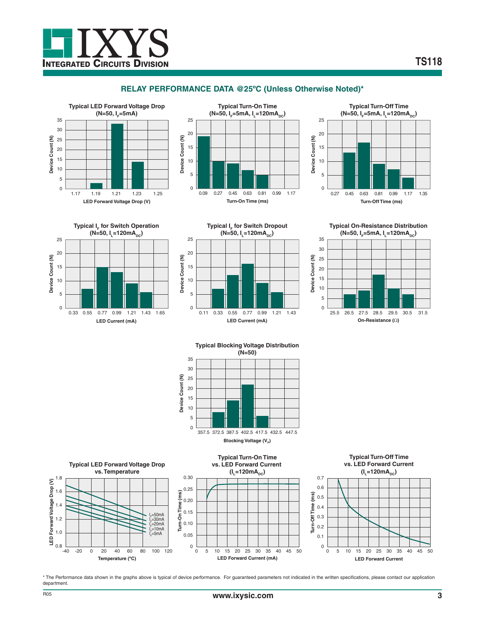

# **RELAY PERFORMANCE DATA @25ºC (Unless Otherwise Noted)\***





















\* The Performance data shown in the graphs above is typical of device performance. For guaranteed parameters not indicated in the written specifications, please contact our application department.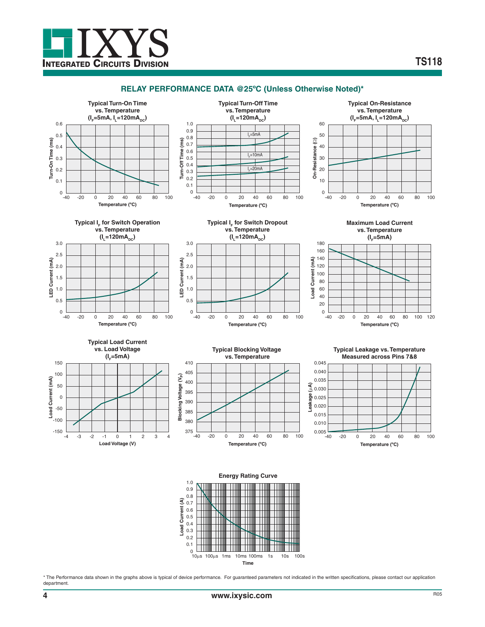

### **RELAY PERFORMANCE DATA @25ºC (Unless Otherwise Noted)\***



\* The Performance data shown in the graphs above is typical of device performance. For guaranteed parameters not indicated in the written specifications, please contact our application department.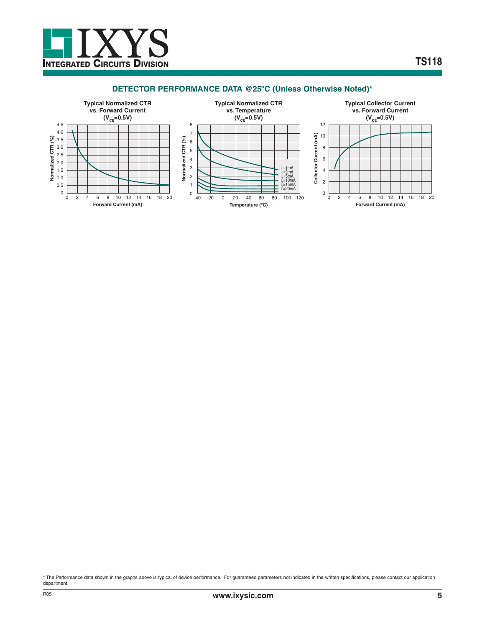

# **DETECTOR PERFORMANCE DATA @25ºC (Unless Otherwise Noted)\***



\* The Performance data shown in the graphs above is typical of device performance. For guaranteed parameters not indicated in the written specifications, please contact our application department.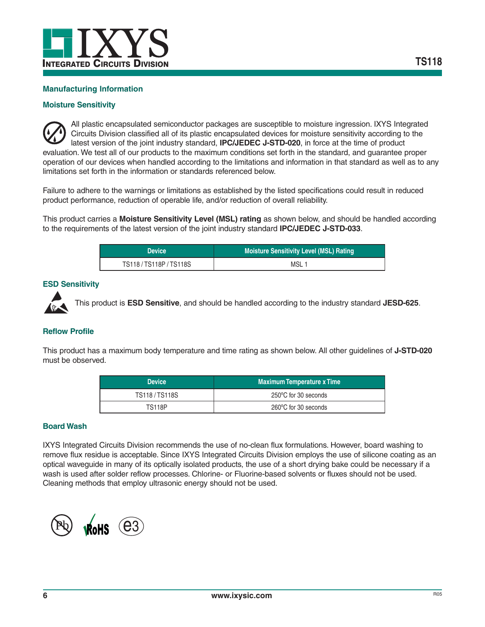

# **Manufacturing Information**

# **Moisture Sensitivity**

All plastic encapsulated semiconductor packages are susceptible to moisture ingression. IXYS Integrated Circuits Division classified all of its plastic encapsulated devices for moisture sensitivity according to the latest version of the joint industry standard, **IPC/JEDEC J-STD-020**, in force at the time of product evaluation. We test all of our products to the maximum conditions set forth in the standard, and guarantee proper operation of our devices when handled according to the limitations and information in that standard as well as to any limitations set forth in the information or standards referenced below.

Failure to adhere to the warnings or limitations as established by the listed specifications could result in reduced product performance, reduction of operable life, and/or reduction of overall reliability.

This product carries a **Moisture Sensitivity Level (MSL) rating** as shown below, and should be handled according to the requirements of the latest version of the joint industry standard **IPC/JEDEC J-STD-033**.

| Device              | <b>Moisture Sensitivity Level (MSL) Rating</b> |
|---------------------|------------------------------------------------|
| TS118/TS118P/TS118S | MSL <sub>1</sub>                               |

#### **ESD Sensitivity**



This product is **ESD Sensitive**, and should be handled according to the industry standard **JESD-625**.

# **Reflow Profile**

This product has a maximum body temperature and time rating as shown below. All other guidelines of **J-STD-020** must be observed.

| Device <sup>1</sup> | <b>Maximum Temperature x Time</b> |  |  |
|---------------------|-----------------------------------|--|--|
| TS118/TS118S        | 250°C for 30 seconds              |  |  |
| <b>TS118P</b>       | 260°C for 30 seconds              |  |  |

### **Board Wash**

IXYS Integrated Circuits Division recommends the use of no-clean flux formulations. However, board washing to remove flux residue is acceptable. Since IXYS Integrated Circuits Division employs the use of silicone coating as an optical waveguide in many of its optically isolated products, the use of a short drying bake could be necessary if a wash is used after solder reflow processes. Chlorine- or Fluorine-based solvents or fluxes should not be used. Cleaning methods that employ ultrasonic energy should not be used.

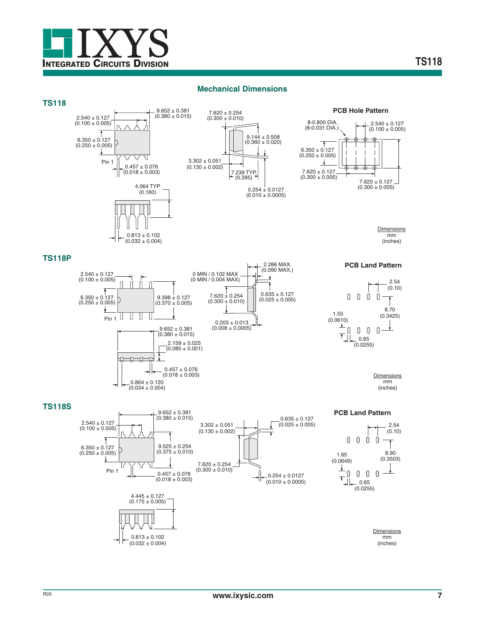

#### **Mechanical Dimensions**